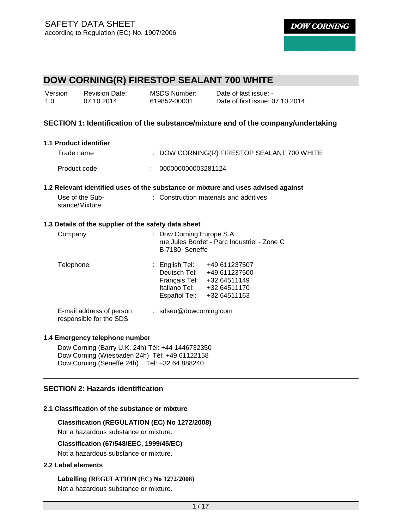| Version | <b>Revision Date:</b> | MSDS Number: | Date of last issue: -           |
|---------|-----------------------|--------------|---------------------------------|
| 1.0     | 07.10.2014            | 619852-00001 | Date of first issue: 07.10.2014 |

#### **SECTION 1: Identification of the substance/mixture and of the company/undertaking**

| 1.1 Product identifier                               |                                                                                            |
|------------------------------------------------------|--------------------------------------------------------------------------------------------|
| Trade name                                           | : DOW CORNING(R) FIRESTOP SEALANT 700 WHITE                                                |
| Product code                                         | 000000000003281124                                                                         |
|                                                      | 1.2 Relevant identified uses of the substance or mixture and uses advised against          |
| Use of the Sub-<br>stance/Mixture                    | : Construction materials and additives                                                     |
| 1.3 Details of the supplier of the safety data sheet |                                                                                            |
| Company                                              | : Dow Corning Europe S.A.<br>rue Jules Bordet - Parc Industriel - Zone C<br>B-7180 Seneffe |
| Telephone                                            | : English Tel: +49 611237507<br>Deutsch Tel: +49 611237500                                 |

Français Tel: +32 64511149 Italiano Tel: +32 64511170 Español Tel: +32 64511163

E-mail address of person responsible for the SDS : sdseu@dowcorning.com

#### **1.4 Emergency telephone number**

Dow Corning (Barry U.K. 24h) Tél: +44 1446732350 Dow Corning (Wiesbaden 24h) Tél: +49 61122158 Dow Corning (Seneffe 24h) Tel: +32 64 888240

#### **SECTION 2: Hazards identification**

#### **2.1 Classification of the substance or mixture**

#### **Classification (REGULATION (EC) No 1272/2008)**

Not a hazardous substance or mixture.

#### **Classification (67/548/EEC, 1999/45/EC)**

Not a hazardous substance or mixture.

#### **2.2 Label elements**

**Labelling (REGULATION (EC) No 1272/2008)** Not a hazardous substance or mixture.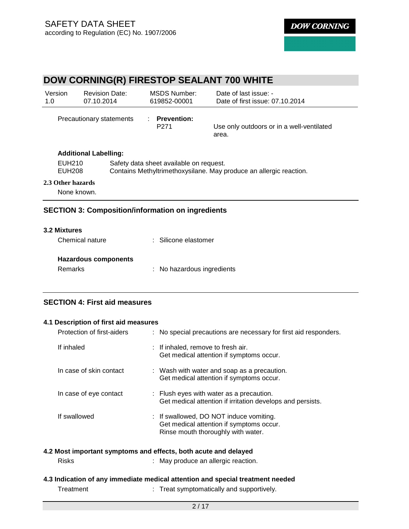#### **DOW CORNING(R) FIRESTOP SEALANT 700 WHITE**  Version 1.0 Revision Date: 07.10.2014 MSDS Number: 619852-00001 Date of last issue: - Date of first issue: 07.10.2014 Precautionary statements : **Prevention:**  P271 Use only outdoors or in a well-ventilated area. **Additional Labelling:** EUH210 Safety data sheet available on request. EUH208 Contains Methyltrimethoxysilane. May produce an allergic reaction. **2.3 Other hazards** None known.

#### **SECTION 3: Composition/information on ingredients**

| <b>3.2 Mixtures</b>         |                            |
|-----------------------------|----------------------------|
| Chemical nature             | : Silicone elastomer       |
|                             |                            |
| <b>Hazardous components</b> |                            |
| Remarks                     | : No hazardous ingredients |

### **SECTION 4: First aid measures**

#### **4.1 Description of first aid measures**

| Protection of first-aiders | : No special precautions are necessary for first aid responders.                                                          |
|----------------------------|---------------------------------------------------------------------------------------------------------------------------|
| If inhaled                 | : If inhaled, remove to fresh air.<br>Get medical attention if symptoms occur.                                            |
| In case of skin contact    | : Wash with water and soap as a precaution.<br>Get medical attention if symptoms occur.                                   |
| In case of eye contact     | : Flush eyes with water as a precaution.<br>Get medical attention if irritation develops and persists.                    |
| If swallowed               | : If swallowed, DO NOT induce vomiting.<br>Get medical attention if symptoms occur.<br>Rinse mouth thoroughly with water. |

#### **4.2 Most important symptoms and effects, both acute and delayed**

- Risks : May produce an allergic reaction.
- **4.3 Indication of any immediate medical attention and special treatment needed** 
	-
	- Treatment : Treat symptomatically and supportively.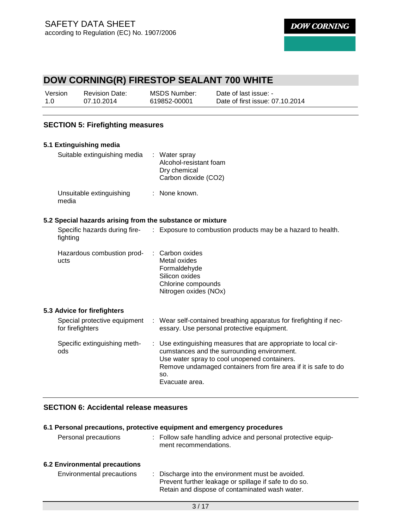# **DOW CORNING(R) FIRESTOP SEALANT 700 WHITE**

| Version | <b>Revision Date:</b> | MSDS Number: | Date of last issue: -           |
|---------|-----------------------|--------------|---------------------------------|
| 1.0     | 07.10.2014            | 619852-00001 | Date of first issue: 07.10.2014 |

#### **SECTION 5: Firefighting measures**

| 5.1 Extinguishing media                                   |    |                                                                                                                                                                                                                                                         |
|-----------------------------------------------------------|----|---------------------------------------------------------------------------------------------------------------------------------------------------------------------------------------------------------------------------------------------------------|
| Suitable extinguishing media                              |    | : Water spray<br>Alcohol-resistant foam<br>Dry chemical<br>Carbon dioxide (CO2)                                                                                                                                                                         |
| Unsuitable extinguishing<br>media                         |    | : None known.                                                                                                                                                                                                                                           |
| 5.2 Special hazards arising from the substance or mixture |    |                                                                                                                                                                                                                                                         |
| fighting                                                  |    | Specific hazards during fire- : Exposure to combustion products may be a hazard to health.                                                                                                                                                              |
| Hazardous combustion prod-<br>ucts                        |    | Carbon oxides<br>Metal oxides<br>Formaldehyde<br>Silicon oxides<br>Chlorine compounds<br>Nitrogen oxides (NOx)                                                                                                                                          |
| 5.3 Advice for firefighters                               |    |                                                                                                                                                                                                                                                         |
| Special protective equipment<br>for firefighters          |    | : Wear self-contained breathing apparatus for firefighting if nec-<br>essary. Use personal protective equipment.                                                                                                                                        |
| Specific extinguishing meth-<br>ods                       | ÷. | Use extinguishing measures that are appropriate to local cir-<br>cumstances and the surrounding environment.<br>Use water spray to cool unopened containers.<br>Remove undamaged containers from fire area if it is safe to do<br>SO.<br>Evacuate area. |

### **SECTION 6: Accidental release measures**

#### **6.1 Personal precautions, protective equipment and emergency procedures**

| Personal precautions          | : Follow safe handling advice and personal protective equip-<br>ment recommendations.                                                                        |
|-------------------------------|--------------------------------------------------------------------------------------------------------------------------------------------------------------|
| 6.2 Environmental precautions |                                                                                                                                                              |
| Environmental precautions     | : Discharge into the environment must be avoided.<br>Prevent further leakage or spillage if safe to do so.<br>Retain and dispose of contaminated wash water. |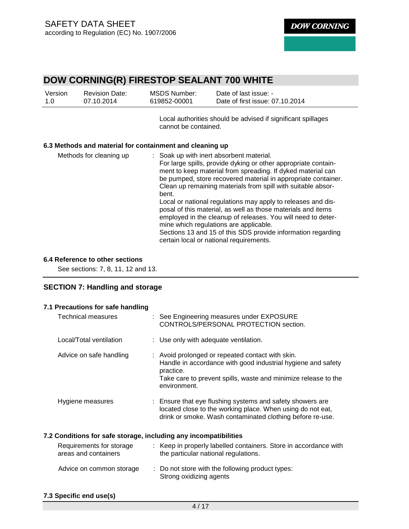# **DOW CORNING(R) FIRESTOP SEALANT 700 WHITE**

| Version | <b>Revision Date:</b> | MSDS Number: | Date of last issue: -           |
|---------|-----------------------|--------------|---------------------------------|
| 1.0     | 07.10.2014            | 619852-00001 | Date of first issue: 07.10.2014 |

Local authorities should be advised if significant spillages cannot be contained.

#### **6.3 Methods and material for containment and cleaning up**

| Methods for cleaning up | : Soak up with inert absorbent material.                       |
|-------------------------|----------------------------------------------------------------|
|                         | For large spills, provide dyking or other appropriate contain- |
|                         | ment to keep material from spreading. If dyked material can    |
|                         | be pumped, store recovered material in appropriate container.  |
|                         | Clean up remaining materials from spill with suitable absor-   |
|                         | bent.                                                          |
|                         | Local or national regulations may apply to releases and dis-   |
|                         | posal of this material, as well as those materials and items   |
|                         | employed in the cleanup of releases. You will need to deter-   |
|                         | mine which regulations are applicable.                         |
|                         | Sections 13 and 15 of this SDS provide information regarding   |
|                         | certain local or national requirements.                        |

#### **6.4 Reference to other sections**

See sections: 7, 8, 11, 12 and 13.

### **SECTION 7: Handling and storage**

| 7.1 Precautions for safe handling                                |                                                                                                                                                                                                                 |
|------------------------------------------------------------------|-----------------------------------------------------------------------------------------------------------------------------------------------------------------------------------------------------------------|
| Technical measures                                               | : See Engineering measures under EXPOSURE<br>CONTROLS/PERSONAL PROTECTION section.                                                                                                                              |
| Local/Total ventilation                                          | : Use only with adequate ventilation.                                                                                                                                                                           |
| Advice on safe handling                                          | : Avoid prolonged or repeated contact with skin.<br>Handle in accordance with good industrial hygiene and safety<br>practice.<br>Take care to prevent spills, waste and minimize release to the<br>environment. |
| Hygiene measures                                                 | : Ensure that eye flushing systems and safety showers are<br>located close to the working place. When using do not eat,<br>drink or smoke. Wash contaminated clothing before re-use.                            |
| 7.2 Conditions for safe storage, including any incompatibilities |                                                                                                                                                                                                                 |
| Requirements for storage<br>areas and containers                 | : Keep in properly labelled containers. Store in accordance with<br>the particular national regulations.                                                                                                        |
| Advice on common storage                                         | : Do not store with the following product types:<br>Strong oxidizing agents                                                                                                                                     |

**7.3 Specific end use(s)**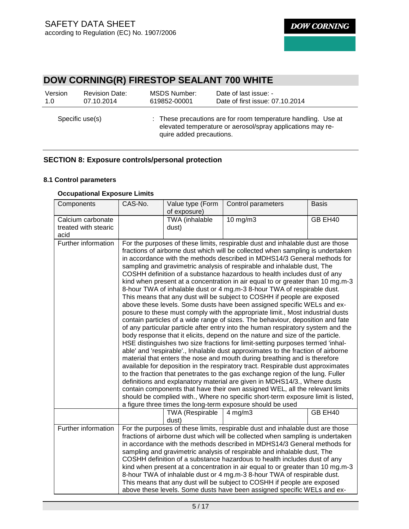# **DOW CORNING(R) FIRESTOP SEALANT 700 WHITE**

| Version         | <b>Revision Date:</b> | MSDS Number:             | Date of last issue: -                                                                                                       |
|-----------------|-----------------------|--------------------------|-----------------------------------------------------------------------------------------------------------------------------|
| 1.0             | 07.10.2014            | 619852-00001             | Date of first issue: 07.10.2014                                                                                             |
| Specific use(s) |                       | quire added precautions. | : These precautions are for room temperature handling. Use at<br>elevated temperature or aerosol/spray applications may re- |

### **SECTION 8: Exposure controls/personal protection**

#### **8.1 Control parameters**

#### **Occupational Exposure Limits**

| Components                                        | CAS-No. | Value type (Form<br>of exposure)                                                                                                                                                                                                                                                                                                                                                                                                                                                                                                                                                                                                                                                                                                                                                                                                                                                                                                                                                                                                                                                                                                                                                                                                                                                                                                                                                                                                                                                                                                                                                                                                                                                                                                                                                                      | Control parameters                                                                                                                                                                                                                                                                                                                                                                                                                                                                                                                                                                                                                                                                                                     | <b>Basis</b> |  |
|---------------------------------------------------|---------|-------------------------------------------------------------------------------------------------------------------------------------------------------------------------------------------------------------------------------------------------------------------------------------------------------------------------------------------------------------------------------------------------------------------------------------------------------------------------------------------------------------------------------------------------------------------------------------------------------------------------------------------------------------------------------------------------------------------------------------------------------------------------------------------------------------------------------------------------------------------------------------------------------------------------------------------------------------------------------------------------------------------------------------------------------------------------------------------------------------------------------------------------------------------------------------------------------------------------------------------------------------------------------------------------------------------------------------------------------------------------------------------------------------------------------------------------------------------------------------------------------------------------------------------------------------------------------------------------------------------------------------------------------------------------------------------------------------------------------------------------------------------------------------------------------|------------------------------------------------------------------------------------------------------------------------------------------------------------------------------------------------------------------------------------------------------------------------------------------------------------------------------------------------------------------------------------------------------------------------------------------------------------------------------------------------------------------------------------------------------------------------------------------------------------------------------------------------------------------------------------------------------------------------|--------------|--|
| Calcium carbonate<br>treated with stearic<br>acid |         | TWA (inhalable<br>dust)                                                                                                                                                                                                                                                                                                                                                                                                                                                                                                                                                                                                                                                                                                                                                                                                                                                                                                                                                                                                                                                                                                                                                                                                                                                                                                                                                                                                                                                                                                                                                                                                                                                                                                                                                                               | 10 mg/m3                                                                                                                                                                                                                                                                                                                                                                                                                                                                                                                                                                                                                                                                                                               | GB EH40      |  |
| Further information                               |         | For the purposes of these limits, respirable dust and inhalable dust are those<br>fractions of airborne dust which will be collected when sampling is undertaken<br>in accordance with the methods described in MDHS14/3 General methods for<br>sampling and gravimetric analysis of respirable and inhalable dust, The<br>COSHH definition of a substance hazardous to health includes dust of any<br>kind when present at a concentration in air equal to or greater than 10 mg.m-3<br>8-hour TWA of inhalable dust or 4 mg.m-3 8-hour TWA of respirable dust.<br>This means that any dust will be subject to COSHH if people are exposed<br>above these levels. Some dusts have been assigned specific WELs and ex-<br>posure to these must comply with the appropriate limit., Most industrial dusts<br>contain particles of a wide range of sizes. The behaviour, deposition and fate<br>of any particular particle after entry into the human respiratory system and the<br>body response that it elicits, depend on the nature and size of the particle.<br>HSE distinguishes two size fractions for limit-setting purposes termed 'inhal-<br>able' and 'respirable'., Inhalable dust approximates to the fraction of airborne<br>material that enters the nose and mouth during breathing and is therefore<br>available for deposition in the respiratory tract. Respirable dust approximates<br>to the fraction that penetrates to the gas exchange region of the lung. Fuller<br>definitions and explanatory material are given in MDHS14/3., Where dusts<br>contain components that have their own assigned WEL, all the relevant limits<br>should be complied with., Where no specific short-term exposure limit is listed,<br>a figure three times the long-term exposure should be used |                                                                                                                                                                                                                                                                                                                                                                                                                                                                                                                                                                                                                                                                                                                        |              |  |
|                                                   |         | <b>TWA (Respirable</b><br>dust)                                                                                                                                                                                                                                                                                                                                                                                                                                                                                                                                                                                                                                                                                                                                                                                                                                                                                                                                                                                                                                                                                                                                                                                                                                                                                                                                                                                                                                                                                                                                                                                                                                                                                                                                                                       | $4$ mg/m $3$                                                                                                                                                                                                                                                                                                                                                                                                                                                                                                                                                                                                                                                                                                           | GB EH40      |  |
| Further information                               |         |                                                                                                                                                                                                                                                                                                                                                                                                                                                                                                                                                                                                                                                                                                                                                                                                                                                                                                                                                                                                                                                                                                                                                                                                                                                                                                                                                                                                                                                                                                                                                                                                                                                                                                                                                                                                       | For the purposes of these limits, respirable dust and inhalable dust are those<br>fractions of airborne dust which will be collected when sampling is undertaken<br>in accordance with the methods described in MDHS14/3 General methods for<br>sampling and gravimetric analysis of respirable and inhalable dust, The<br>COSHH definition of a substance hazardous to health includes dust of any<br>kind when present at a concentration in air equal to or greater than 10 mg.m-3<br>8-hour TWA of inhalable dust or 4 mg.m-3 8-hour TWA of respirable dust.<br>This means that any dust will be subject to COSHH if people are exposed<br>above these levels. Some dusts have been assigned specific WELs and ex- |              |  |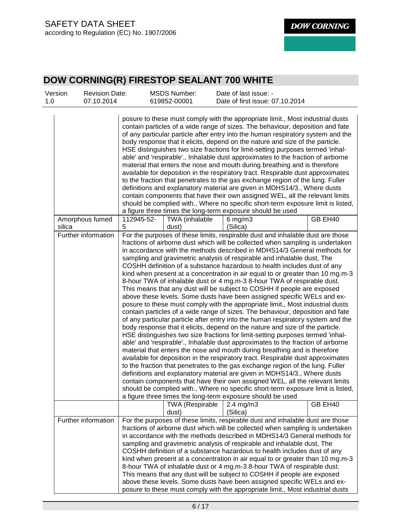| Version<br>1.0 | <b>Revision Date:</b><br>07.10.2014 |                 | <b>MSDS Number:</b><br>619852-00001 |                                  | Date of last issue: -<br>Date of first issue: 07.10.2014                                                                                                                                                                                                                                                                                                                                                                                                                                                                                                                                                          |                                                                                                                                                                                                                                                                                                                                                                                                                                                                                                                                                                                                                                                                                                                                                                                                                                                                                                                                                                                                                                                                                                                                                                                           |
|----------------|-------------------------------------|-----------------|-------------------------------------|----------------------------------|-------------------------------------------------------------------------------------------------------------------------------------------------------------------------------------------------------------------------------------------------------------------------------------------------------------------------------------------------------------------------------------------------------------------------------------------------------------------------------------------------------------------------------------------------------------------------------------------------------------------|-------------------------------------------------------------------------------------------------------------------------------------------------------------------------------------------------------------------------------------------------------------------------------------------------------------------------------------------------------------------------------------------------------------------------------------------------------------------------------------------------------------------------------------------------------------------------------------------------------------------------------------------------------------------------------------------------------------------------------------------------------------------------------------------------------------------------------------------------------------------------------------------------------------------------------------------------------------------------------------------------------------------------------------------------------------------------------------------------------------------------------------------------------------------------------------------|
|                |                                     |                 |                                     |                                  | body response that it elicits, depend on the nature and size of the particle.<br>material that enters the nose and mouth during breathing and is therefore<br>definitions and explanatory material are given in MDHS14/3., Where dusts<br>a figure three times the long-term exposure should be used                                                                                                                                                                                                                                                                                                              | posure to these must comply with the appropriate limit., Most industrial dusts<br>contain particles of a wide range of sizes. The behaviour, deposition and fate<br>of any particular particle after entry into the human respiratory system and the<br>HSE distinguishes two size fractions for limit-setting purposes termed 'inhal-<br>able' and 'respirable'., Inhalable dust approximates to the fraction of airborne<br>available for deposition in the respiratory tract. Respirable dust approximates<br>to the fraction that penetrates to the gas exchange region of the lung. Fuller<br>contain components that have their own assigned WEL, all the relevant limits<br>should be complied with., Where no specific short-term exposure limit is listed,                                                                                                                                                                                                                                                                                                                                                                                                                       |
| silica         | Amorphous fumed                     | 112945-52-<br>5 | TWA (inhalable<br>dust)             | $6$ mg/m $3$<br>(Silica)         |                                                                                                                                                                                                                                                                                                                                                                                                                                                                                                                                                                                                                   | GB EH40                                                                                                                                                                                                                                                                                                                                                                                                                                                                                                                                                                                                                                                                                                                                                                                                                                                                                                                                                                                                                                                                                                                                                                                   |
|                | Further information                 |                 | <b>TWA (Respirable</b><br>dust)     | $2.4 \text{ mg/m}$ 3<br>(Silica) | sampling and gravimetric analysis of respirable and inhalable dust, The<br>COSHH definition of a substance hazardous to health includes dust of any<br>8-hour TWA of inhalable dust or 4 mg.m-3 8-hour TWA of respirable dust.<br>This means that any dust will be subject to COSHH if people are exposed<br>body response that it elicits, depend on the nature and size of the particle.<br>material that enters the nose and mouth during breathing and is therefore<br>definitions and explanatory material are given in MDHS14/3., Where dusts<br>a figure three times the long-term exposure should be used | For the purposes of these limits, respirable dust and inhalable dust are those<br>fractions of airborne dust which will be collected when sampling is undertaken<br>in accordance with the methods described in MDHS14/3 General methods for<br>kind when present at a concentration in air equal to or greater than 10 mg.m-3<br>above these levels. Some dusts have been assigned specific WELs and ex-<br>posure to these must comply with the appropriate limit., Most industrial dusts<br>contain particles of a wide range of sizes. The behaviour, deposition and fate<br>of any particular particle after entry into the human respiratory system and the<br>HSE distinguishes two size fractions for limit-setting purposes termed 'inhal-<br>able' and 'respirable'., Inhalable dust approximates to the fraction of airborne<br>available for deposition in the respiratory tract. Respirable dust approximates<br>to the fraction that penetrates to the gas exchange region of the lung. Fuller<br>contain components that have their own assigned WEL, all the relevant limits<br>should be complied with Where no specific short-term exposure limit is listed.<br>GB EH40 |
|                | Further information                 |                 |                                     |                                  | sampling and gravimetric analysis of respirable and inhalable dust, The<br>COSHH definition of a substance hazardous to health includes dust of any<br>8-hour TWA of inhalable dust or 4 mg.m-3 8-hour TWA of respirable dust.<br>This means that any dust will be subject to COSHH if people are exposed                                                                                                                                                                                                                                                                                                         | For the purposes of these limits, respirable dust and inhalable dust are those<br>fractions of airborne dust which will be collected when sampling is undertaken<br>in accordance with the methods described in MDHS14/3 General methods for<br>kind when present at a concentration in air equal to or greater than 10 mg.m-3<br>above these levels. Some dusts have been assigned specific WELs and ex-<br>posure to these must comply with the appropriate limit., Most industrial dusts                                                                                                                                                                                                                                                                                                                                                                                                                                                                                                                                                                                                                                                                                               |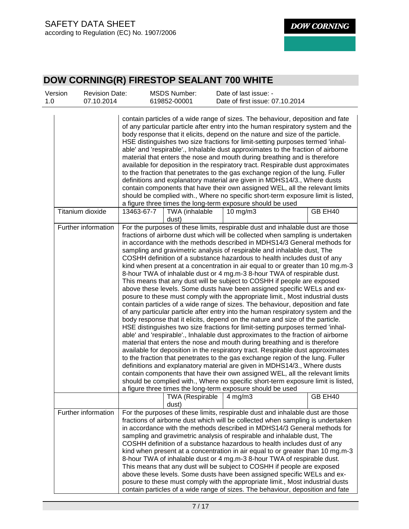| Version<br>1.0 | <b>Revision Date:</b><br>07.10.2014 |            | <b>MSDS Number:</b><br>619852-00001 | Date of last issue: -<br>Date of first issue: 07.10.2014                                                                                                                                                                                                                                                                                                                                                                                                                                                                                                                                                                                                                                                                                                                                                                                                                                                                                                                                                                                                                                                                                                                                                                                                                                                                                                                                                                                                                                                                                                                                                                                                                                                                                                                                              |  |
|----------------|-------------------------------------|------------|-------------------------------------|-------------------------------------------------------------------------------------------------------------------------------------------------------------------------------------------------------------------------------------------------------------------------------------------------------------------------------------------------------------------------------------------------------------------------------------------------------------------------------------------------------------------------------------------------------------------------------------------------------------------------------------------------------------------------------------------------------------------------------------------------------------------------------------------------------------------------------------------------------------------------------------------------------------------------------------------------------------------------------------------------------------------------------------------------------------------------------------------------------------------------------------------------------------------------------------------------------------------------------------------------------------------------------------------------------------------------------------------------------------------------------------------------------------------------------------------------------------------------------------------------------------------------------------------------------------------------------------------------------------------------------------------------------------------------------------------------------------------------------------------------------------------------------------------------------|--|
|                |                                     |            |                                     | contain particles of a wide range of sizes. The behaviour, deposition and fate<br>of any particular particle after entry into the human respiratory system and the<br>body response that it elicits, depend on the nature and size of the particle.<br>HSE distinguishes two size fractions for limit-setting purposes termed 'inhal-<br>able' and 'respirable'., Inhalable dust approximates to the fraction of airborne<br>material that enters the nose and mouth during breathing and is therefore<br>available for deposition in the respiratory tract. Respirable dust approximates<br>to the fraction that penetrates to the gas exchange region of the lung. Fuller<br>definitions and explanatory material are given in MDHS14/3., Where dusts<br>contain components that have their own assigned WEL, all the relevant limits<br>should be complied with., Where no specific short-term exposure limit is listed,<br>a figure three times the long-term exposure should be used                                                                                                                                                                                                                                                                                                                                                                                                                                                                                                                                                                                                                                                                                                                                                                                                             |  |
|                | Titanium dioxide                    | 13463-67-7 | TWA (inhalable<br>dust)             | $10$ mg/m $3$<br>GB EH40                                                                                                                                                                                                                                                                                                                                                                                                                                                                                                                                                                                                                                                                                                                                                                                                                                                                                                                                                                                                                                                                                                                                                                                                                                                                                                                                                                                                                                                                                                                                                                                                                                                                                                                                                                              |  |
|                | Further information                 |            |                                     | For the purposes of these limits, respirable dust and inhalable dust are those<br>fractions of airborne dust which will be collected when sampling is undertaken<br>in accordance with the methods described in MDHS14/3 General methods for<br>sampling and gravimetric analysis of respirable and inhalable dust, The<br>COSHH definition of a substance hazardous to health includes dust of any<br>kind when present at a concentration in air equal to or greater than 10 mg.m-3<br>8-hour TWA of inhalable dust or 4 mg.m-3 8-hour TWA of respirable dust.<br>This means that any dust will be subject to COSHH if people are exposed<br>above these levels. Some dusts have been assigned specific WELs and ex-<br>posure to these must comply with the appropriate limit., Most industrial dusts<br>contain particles of a wide range of sizes. The behaviour, deposition and fate<br>of any particular particle after entry into the human respiratory system and the<br>body response that it elicits, depend on the nature and size of the particle.<br>HSE distinguishes two size fractions for limit-setting purposes termed 'inhal-<br>able' and 'respirable'., Inhalable dust approximates to the fraction of airborne<br>material that enters the nose and mouth during breathing and is therefore<br>available for deposition in the respiratory tract. Respirable dust approximates<br>to the fraction that penetrates to the gas exchange region of the lung. Fuller<br>definitions and explanatory material are given in MDHS14/3., Where dusts<br>contain components that have their own assigned WEL, all the relevant limits<br>should be complied with., Where no specific short-term exposure limit is listed,<br>a figure three times the long-term exposure should be used |  |
|                |                                     |            | <b>TWA (Respirable</b><br>dust)     | GB EH40<br>$4$ mg/m $3$                                                                                                                                                                                                                                                                                                                                                                                                                                                                                                                                                                                                                                                                                                                                                                                                                                                                                                                                                                                                                                                                                                                                                                                                                                                                                                                                                                                                                                                                                                                                                                                                                                                                                                                                                                               |  |
|                | Further information                 |            |                                     | For the purposes of these limits, respirable dust and inhalable dust are those<br>fractions of airborne dust which will be collected when sampling is undertaken<br>in accordance with the methods described in MDHS14/3 General methods for<br>sampling and gravimetric analysis of respirable and inhalable dust, The<br>COSHH definition of a substance hazardous to health includes dust of any<br>kind when present at a concentration in air equal to or greater than 10 mg.m-3<br>8-hour TWA of inhalable dust or 4 mg.m-3 8-hour TWA of respirable dust.<br>This means that any dust will be subject to COSHH if people are exposed<br>above these levels. Some dusts have been assigned specific WELs and ex-<br>posure to these must comply with the appropriate limit., Most industrial dusts<br>contain particles of a wide range of sizes. The behaviour, deposition and fate                                                                                                                                                                                                                                                                                                                                                                                                                                                                                                                                                                                                                                                                                                                                                                                                                                                                                                            |  |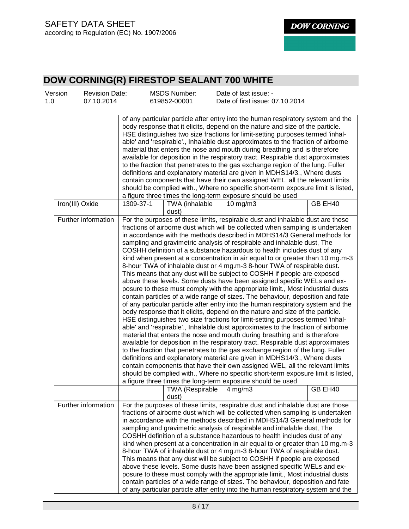| Version<br>1.0 | <b>Revision Date:</b><br>07.10.2014 |           | <b>MSDS Number:</b><br>619852-00001      | Date of last issue: -<br>Date of first issue: 07.10.2014                                                                                                                                                                                                                                                                                                                                                                                                                                                                                                                                                                                                                                                                                                                                                                                                                                                                                                                                                                                                                                                                                                                                                                                                                                                                                                                                                                                                                                                                                                                                                                                                                                                                                                                                              |         |
|----------------|-------------------------------------|-----------|------------------------------------------|-------------------------------------------------------------------------------------------------------------------------------------------------------------------------------------------------------------------------------------------------------------------------------------------------------------------------------------------------------------------------------------------------------------------------------------------------------------------------------------------------------------------------------------------------------------------------------------------------------------------------------------------------------------------------------------------------------------------------------------------------------------------------------------------------------------------------------------------------------------------------------------------------------------------------------------------------------------------------------------------------------------------------------------------------------------------------------------------------------------------------------------------------------------------------------------------------------------------------------------------------------------------------------------------------------------------------------------------------------------------------------------------------------------------------------------------------------------------------------------------------------------------------------------------------------------------------------------------------------------------------------------------------------------------------------------------------------------------------------------------------------------------------------------------------------|---------|
|                |                                     |           |                                          | of any particular particle after entry into the human respiratory system and the<br>body response that it elicits, depend on the nature and size of the particle.<br>HSE distinguishes two size fractions for limit-setting purposes termed 'inhal-<br>able' and 'respirable'., Inhalable dust approximates to the fraction of airborne<br>material that enters the nose and mouth during breathing and is therefore<br>available for deposition in the respiratory tract. Respirable dust approximates<br>to the fraction that penetrates to the gas exchange region of the lung. Fuller<br>definitions and explanatory material are given in MDHS14/3., Where dusts<br>contain components that have their own assigned WEL, all the relevant limits<br>should be complied with., Where no specific short-term exposure limit is listed,<br>a figure three times the long-term exposure should be used                                                                                                                                                                                                                                                                                                                                                                                                                                                                                                                                                                                                                                                                                                                                                                                                                                                                                               |         |
|                | Iron(III) Oxide                     | 1309-37-1 | TWA (inhalable<br>dust)                  | $10$ mg/m $3$                                                                                                                                                                                                                                                                                                                                                                                                                                                                                                                                                                                                                                                                                                                                                                                                                                                                                                                                                                                                                                                                                                                                                                                                                                                                                                                                                                                                                                                                                                                                                                                                                                                                                                                                                                                         | GB EH40 |
|                | Further information                 |           |                                          | For the purposes of these limits, respirable dust and inhalable dust are those<br>fractions of airborne dust which will be collected when sampling is undertaken<br>in accordance with the methods described in MDHS14/3 General methods for<br>sampling and gravimetric analysis of respirable and inhalable dust, The<br>COSHH definition of a substance hazardous to health includes dust of any<br>kind when present at a concentration in air equal to or greater than 10 mg.m-3<br>8-hour TWA of inhalable dust or 4 mg.m-3 8-hour TWA of respirable dust.<br>This means that any dust will be subject to COSHH if people are exposed<br>above these levels. Some dusts have been assigned specific WELs and ex-<br>posure to these must comply with the appropriate limit., Most industrial dusts<br>contain particles of a wide range of sizes. The behaviour, deposition and fate<br>of any particular particle after entry into the human respiratory system and the<br>body response that it elicits, depend on the nature and size of the particle.<br>HSE distinguishes two size fractions for limit-setting purposes termed 'inhal-<br>able' and 'respirable'., Inhalable dust approximates to the fraction of airborne<br>material that enters the nose and mouth during breathing and is therefore<br>available for deposition in the respiratory tract. Respirable dust approximates<br>to the fraction that penetrates to the gas exchange region of the lung. Fuller<br>definitions and explanatory material are given in MDHS14/3., Where dusts<br>contain components that have their own assigned WEL, all the relevant limits<br>should be complied with., Where no specific short-term exposure limit is listed,<br>a figure three times the long-term exposure should be used |         |
|                |                                     |           | TWA (Respirable $\vert$ 4 mg/m3<br>dust) |                                                                                                                                                                                                                                                                                                                                                                                                                                                                                                                                                                                                                                                                                                                                                                                                                                                                                                                                                                                                                                                                                                                                                                                                                                                                                                                                                                                                                                                                                                                                                                                                                                                                                                                                                                                                       | GB EH40 |
|                | Further information                 |           |                                          | For the purposes of these limits, respirable dust and inhalable dust are those<br>fractions of airborne dust which will be collected when sampling is undertaken<br>in accordance with the methods described in MDHS14/3 General methods for<br>sampling and gravimetric analysis of respirable and inhalable dust, The<br>COSHH definition of a substance hazardous to health includes dust of any<br>kind when present at a concentration in air equal to or greater than 10 mg.m-3<br>8-hour TWA of inhalable dust or 4 mg.m-3 8-hour TWA of respirable dust.<br>This means that any dust will be subject to COSHH if people are exposed<br>above these levels. Some dusts have been assigned specific WELs and ex-<br>posure to these must comply with the appropriate limit., Most industrial dusts<br>contain particles of a wide range of sizes. The behaviour, deposition and fate<br>of any particular particle after entry into the human respiratory system and the                                                                                                                                                                                                                                                                                                                                                                                                                                                                                                                                                                                                                                                                                                                                                                                                                        |         |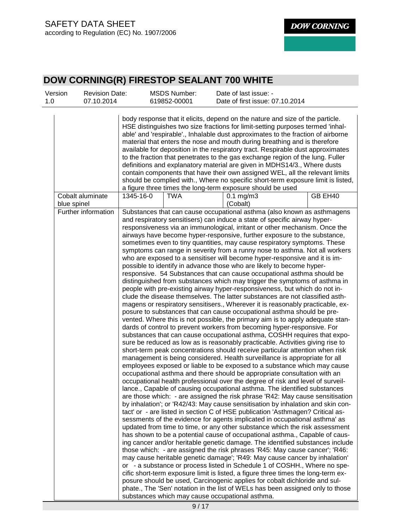| Version<br>1.0 | <b>Revision Date:</b><br>07.10.2014 |           | <b>MSDS Number:</b><br>619852-00001 | Date of last issue: -<br>Date of first issue: 07.10.2014                                                                                                                                                                                                                                                                                                                                                                                                                                                                                                                                                                                                                                                                                                                                                                                                                                                                                                                                                                                                                                                                                                                                                                                                                                                                                                                                                                                                                                                                                                                                                                                                                                                                                                                                                                                                                                                                                                                                                                                                                                                                                                                                                                                                                                                                                                                                                                                                                                                                                                                                                                                                                                                                                                                                                                                                                                                                                                                                                                                                               |
|----------------|-------------------------------------|-----------|-------------------------------------|------------------------------------------------------------------------------------------------------------------------------------------------------------------------------------------------------------------------------------------------------------------------------------------------------------------------------------------------------------------------------------------------------------------------------------------------------------------------------------------------------------------------------------------------------------------------------------------------------------------------------------------------------------------------------------------------------------------------------------------------------------------------------------------------------------------------------------------------------------------------------------------------------------------------------------------------------------------------------------------------------------------------------------------------------------------------------------------------------------------------------------------------------------------------------------------------------------------------------------------------------------------------------------------------------------------------------------------------------------------------------------------------------------------------------------------------------------------------------------------------------------------------------------------------------------------------------------------------------------------------------------------------------------------------------------------------------------------------------------------------------------------------------------------------------------------------------------------------------------------------------------------------------------------------------------------------------------------------------------------------------------------------------------------------------------------------------------------------------------------------------------------------------------------------------------------------------------------------------------------------------------------------------------------------------------------------------------------------------------------------------------------------------------------------------------------------------------------------------------------------------------------------------------------------------------------------------------------------------------------------------------------------------------------------------------------------------------------------------------------------------------------------------------------------------------------------------------------------------------------------------------------------------------------------------------------------------------------------------------------------------------------------------------------------------------------------|
|                |                                     |           |                                     | body response that it elicits, depend on the nature and size of the particle.<br>HSE distinguishes two size fractions for limit-setting purposes termed 'inhal-<br>able' and 'respirable'., Inhalable dust approximates to the fraction of airborne<br>material that enters the nose and mouth during breathing and is therefore<br>available for deposition in the respiratory tract. Respirable dust approximates<br>to the fraction that penetrates to the gas exchange region of the lung. Fuller<br>definitions and explanatory material are given in MDHS14/3., Where dusts<br>contain components that have their own assigned WEL, all the relevant limits<br>should be complied with., Where no specific short-term exposure limit is listed,<br>a figure three times the long-term exposure should be used                                                                                                                                                                                                                                                                                                                                                                                                                                                                                                                                                                                                                                                                                                                                                                                                                                                                                                                                                                                                                                                                                                                                                                                                                                                                                                                                                                                                                                                                                                                                                                                                                                                                                                                                                                                                                                                                                                                                                                                                                                                                                                                                                                                                                                                    |
|                | Cobalt aluminate<br>blue spinel     | 1345-16-0 | <b>TWA</b>                          | GB EH40<br>$0.1$ mg/m $3$<br>(Cobalt)                                                                                                                                                                                                                                                                                                                                                                                                                                                                                                                                                                                                                                                                                                                                                                                                                                                                                                                                                                                                                                                                                                                                                                                                                                                                                                                                                                                                                                                                                                                                                                                                                                                                                                                                                                                                                                                                                                                                                                                                                                                                                                                                                                                                                                                                                                                                                                                                                                                                                                                                                                                                                                                                                                                                                                                                                                                                                                                                                                                                                                  |
|                | Further information                 |           |                                     | Substances that can cause occupational asthma (also known as asthmagens<br>and respiratory sensitisers) can induce a state of specific airway hyper-<br>responsiveness via an immunological, irritant or other mechanism. Once the<br>airways have become hyper-responsive, further exposure to the substance,<br>sometimes even to tiny quantities, may cause respiratory symptoms. These<br>symptoms can range in severity from a runny nose to asthma. Not all workers<br>who are exposed to a sensitiser will become hyper-responsive and it is im-<br>possible to identify in advance those who are likely to become hyper-<br>responsive. 54 Substances that can cause occupational asthma should be<br>distinguished from substances which may trigger the symptoms of asthma in<br>people with pre-existing airway hyper-responsiveness, but which do not in-<br>clude the disease themselves. The latter substances are not classified asth-<br>magens or respiratory sensitisers., Wherever it is reasonably practicable, ex-<br>posure to substances that can cause occupational asthma should be pre-<br>vented. Where this is not possible, the primary aim is to apply adequate stan-<br>dards of control to prevent workers from becoming hyper-responsive. For<br>substances that can cause occupational asthma, COSHH requires that expo-<br>sure be reduced as low as is reasonably practicable. Activities giving rise to<br>short-term peak concentrations should receive particular attention when risk<br>management is being considered. Health surveillance is appropriate for all<br>employees exposed or liable to be exposed to a substance which may cause<br>occupational asthma and there should be appropriate consultation with an<br>occupational health professional over the degree of risk and level of surveil-<br>lance., Capable of causing occupational asthma. The identified substances<br>are those which: - are assigned the risk phrase 'R42: May cause sensitisation<br>by inhalation'; or 'R42/43: May cause sensitisation by inhalation and skin con-<br>tact' or - are listed in section C of HSE publication 'Asthmagen? Critical as-<br>sessments of the evidence for agents implicated in occupational asthma' as<br>updated from time to time, or any other substance which the risk assessment<br>has shown to be a potential cause of occupational asthma., Capable of caus-<br>ing cancer and/or heritable genetic damage. The identified substances include<br>those which: - are assigned the risk phrases 'R45: May cause cancer'; 'R46:<br>may cause heritable genetic damage'; 'R49: May cause cancer by inhalation'<br>or - a substance or process listed in Schedule 1 of COSHH., Where no spe-<br>cific short-term exposure limit is listed, a figure three times the long-term ex-<br>posure should be used, Carcinogenic applies for cobalt dichloride and sul-<br>phate., The 'Sen' notation in the list of WELs has been assigned only to those<br>substances which may cause occupational asthma. |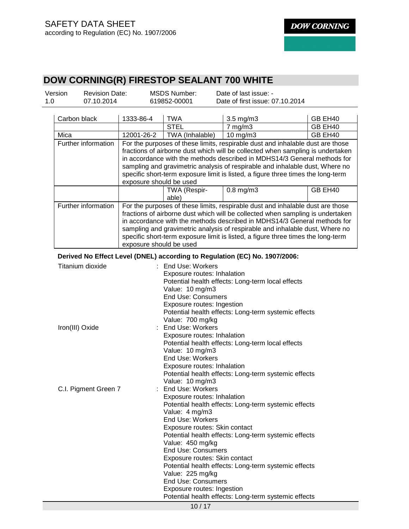| 1333-86-4<br>12001-26-2<br>exposure should be used                                                                                                                                                                                                                                                                                                                                                                                      | 619852-00001<br><b>TWA</b><br><b>STEL</b><br>TWA (Inhalable) | Date of first issue: 07.10.2014<br>3.5 mg/m3<br>$7$ mg/m $3$<br>$10$ mg/m $3$<br>For the purposes of these limits, respirable dust and inhalable dust are those<br>fractions of airborne dust which will be collected when sampling is undertaken<br>in accordance with the methods described in MDHS14/3 General methods for<br>sampling and gravimetric analysis of respirable and inhalable dust, Where no<br>specific short-term exposure limit is listed, a figure three times the long-term | GB EH40<br>GB EH40<br>GB EH40                                                                                                                                                                                                                                                                                                                                         |  |  |
|-----------------------------------------------------------------------------------------------------------------------------------------------------------------------------------------------------------------------------------------------------------------------------------------------------------------------------------------------------------------------------------------------------------------------------------------|--------------------------------------------------------------|---------------------------------------------------------------------------------------------------------------------------------------------------------------------------------------------------------------------------------------------------------------------------------------------------------------------------------------------------------------------------------------------------------------------------------------------------------------------------------------------------|-----------------------------------------------------------------------------------------------------------------------------------------------------------------------------------------------------------------------------------------------------------------------------------------------------------------------------------------------------------------------|--|--|
|                                                                                                                                                                                                                                                                                                                                                                                                                                         |                                                              |                                                                                                                                                                                                                                                                                                                                                                                                                                                                                                   |                                                                                                                                                                                                                                                                                                                                                                       |  |  |
|                                                                                                                                                                                                                                                                                                                                                                                                                                         |                                                              |                                                                                                                                                                                                                                                                                                                                                                                                                                                                                                   |                                                                                                                                                                                                                                                                                                                                                                       |  |  |
|                                                                                                                                                                                                                                                                                                                                                                                                                                         |                                                              |                                                                                                                                                                                                                                                                                                                                                                                                                                                                                                   |                                                                                                                                                                                                                                                                                                                                                                       |  |  |
|                                                                                                                                                                                                                                                                                                                                                                                                                                         |                                                              |                                                                                                                                                                                                                                                                                                                                                                                                                                                                                                   |                                                                                                                                                                                                                                                                                                                                                                       |  |  |
|                                                                                                                                                                                                                                                                                                                                                                                                                                         |                                                              |                                                                                                                                                                                                                                                                                                                                                                                                                                                                                                   |                                                                                                                                                                                                                                                                                                                                                                       |  |  |
|                                                                                                                                                                                                                                                                                                                                                                                                                                         |                                                              |                                                                                                                                                                                                                                                                                                                                                                                                                                                                                                   |                                                                                                                                                                                                                                                                                                                                                                       |  |  |
|                                                                                                                                                                                                                                                                                                                                                                                                                                         | TWA (Respir-<br>able)                                        | $0.8$ mg/m $3$                                                                                                                                                                                                                                                                                                                                                                                                                                                                                    | GB EH40                                                                                                                                                                                                                                                                                                                                                               |  |  |
| Further information<br>For the purposes of these limits, respirable dust and inhalable dust are those<br>fractions of airborne dust which will be collected when sampling is undertaken<br>in accordance with the methods described in MDHS14/3 General methods for<br>sampling and gravimetric analysis of respirable and inhalable dust, Where no<br>specific short-term exposure limit is listed, a figure three times the long-term |                                                              |                                                                                                                                                                                                                                                                                                                                                                                                                                                                                                   |                                                                                                                                                                                                                                                                                                                                                                       |  |  |
|                                                                                                                                                                                                                                                                                                                                                                                                                                         |                                                              |                                                                                                                                                                                                                                                                                                                                                                                                                                                                                                   |                                                                                                                                                                                                                                                                                                                                                                       |  |  |
| Titanium dioxide<br>Exposure routes: Inhalation<br>Value: 10 mg/m3<br><b>End Use: Consumers</b><br>Exposure routes: Ingestion<br>Value: 700 mg/kg<br>End Use: Workers<br>Iron(III) Oxide<br>Exposure routes: Inhalation<br>Value: 10 mg/m3<br>End Use: Workers<br>Exposure routes: Inhalation                                                                                                                                           |                                                              |                                                                                                                                                                                                                                                                                                                                                                                                                                                                                                   |                                                                                                                                                                                                                                                                                                                                                                       |  |  |
| C.I. Pigment Green 7                                                                                                                                                                                                                                                                                                                                                                                                                    |                                                              | Exposure routes: Inhalation<br>Potential health effects: Long-term systemic effects<br>Value: 4 mg/m3<br>End Use: Workers<br>Exposure routes: Skin contact<br>Potential health effects: Long-term systemic effects<br>Value: 450 mg/kg<br><b>End Use: Consumers</b><br>Exposure routes: Skin contact<br>Potential health effects: Long-term systemic effects<br>Value: 225 mg/kg<br><b>End Use: Consumers</b><br>Exposure routes: Ingestion                                                       |                                                                                                                                                                                                                                                                                                                                                                       |  |  |
|                                                                                                                                                                                                                                                                                                                                                                                                                                         |                                                              | exposure should be used<br>: End Use: Workers<br>Value: 10 mg/m3<br><b>End Use: Workers</b>                                                                                                                                                                                                                                                                                                                                                                                                       | Derived No Effect Level (DNEL) according to Regulation (EC) No. 1907/2006:<br>Potential health effects: Long-term local effects<br>Potential health effects: Long-term systemic effects<br>Potential health effects: Long-term local effects<br>Potential health effects: Long-term systemic effects<br>Potential health effects: Long-term systemic effects<br>10/17 |  |  |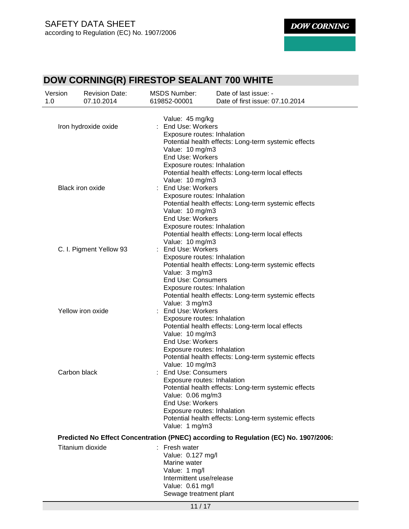| Version<br>1.0       | <b>Revision Date:</b><br>07.10.2014 | <b>MSDS Number:</b><br>619852-00001 | Date of last issue: -<br>Date of first issue: 07.10.2014                             |  |
|----------------------|-------------------------------------|-------------------------------------|--------------------------------------------------------------------------------------|--|
|                      |                                     | Value: 45 mg/kg                     |                                                                                      |  |
| Iron hydroxide oxide |                                     | <b>End Use: Workers</b>             |                                                                                      |  |
|                      |                                     | Exposure routes: Inhalation         |                                                                                      |  |
|                      |                                     |                                     | Potential health effects: Long-term systemic effects                                 |  |
|                      |                                     | Value: 10 mg/m3                     |                                                                                      |  |
|                      |                                     | End Use: Workers                    |                                                                                      |  |
|                      |                                     | Exposure routes: Inhalation         |                                                                                      |  |
|                      |                                     |                                     | Potential health effects: Long-term local effects                                    |  |
|                      |                                     | Value: 10 mg/m3                     |                                                                                      |  |
|                      | <b>Black iron oxide</b>             | : End Use: Workers                  |                                                                                      |  |
|                      |                                     | Exposure routes: Inhalation         |                                                                                      |  |
|                      |                                     |                                     | Potential health effects: Long-term systemic effects                                 |  |
|                      |                                     | Value: 10 mg/m3                     |                                                                                      |  |
|                      |                                     | End Use: Workers                    |                                                                                      |  |
|                      |                                     | Exposure routes: Inhalation         |                                                                                      |  |
|                      |                                     |                                     | Potential health effects: Long-term local effects                                    |  |
|                      |                                     | Value: 10 mg/m3                     |                                                                                      |  |
|                      | C. I. Pigment Yellow 93             | End Use: Workers                    |                                                                                      |  |
|                      |                                     | Exposure routes: Inhalation         |                                                                                      |  |
|                      |                                     |                                     | Potential health effects: Long-term systemic effects                                 |  |
|                      |                                     | Value: 3 mg/m3                      |                                                                                      |  |
|                      |                                     | <b>End Use: Consumers</b>           |                                                                                      |  |
|                      |                                     | Exposure routes: Inhalation         |                                                                                      |  |
|                      |                                     |                                     | Potential health effects: Long-term systemic effects                                 |  |
|                      | Yellow iron oxide                   | Value: 3 mg/m3<br>End Use: Workers  |                                                                                      |  |
|                      |                                     | Exposure routes: Inhalation         |                                                                                      |  |
|                      |                                     |                                     | Potential health effects: Long-term local effects                                    |  |
|                      |                                     | Value: 10 mg/m3                     |                                                                                      |  |
|                      |                                     | End Use: Workers                    |                                                                                      |  |
|                      |                                     | Exposure routes: Inhalation         |                                                                                      |  |
|                      |                                     |                                     | Potential health effects: Long-term systemic effects                                 |  |
|                      |                                     | Value: 10 mg/m3                     |                                                                                      |  |
|                      | Carbon black                        | <b>End Use: Consumers</b>           |                                                                                      |  |
|                      |                                     | Exposure routes: Inhalation         |                                                                                      |  |
|                      |                                     |                                     | Potential health effects: Long-term systemic effects                                 |  |
|                      |                                     | Value: 0.06 mg/m3                   |                                                                                      |  |
|                      |                                     | End Use: Workers                    |                                                                                      |  |
|                      |                                     | Exposure routes: Inhalation         |                                                                                      |  |
|                      |                                     |                                     | Potential health effects: Long-term systemic effects                                 |  |
|                      |                                     | Value: 1 mg/m3                      |                                                                                      |  |
|                      |                                     |                                     | Predicted No Effect Concentration (PNEC) according to Regulation (EC) No. 1907/2006: |  |
|                      | Titanium dioxide                    | : Fresh water                       |                                                                                      |  |
|                      |                                     | Value: 0.127 mg/l                   |                                                                                      |  |
|                      |                                     | Marine water                        |                                                                                      |  |
|                      |                                     | Value: 1 mg/l                       |                                                                                      |  |
|                      |                                     | Intermittent use/release            |                                                                                      |  |
|                      |                                     | Value: 0.61 mg/l                    |                                                                                      |  |
|                      |                                     | Sewage treatment plant              |                                                                                      |  |
|                      |                                     |                                     |                                                                                      |  |
|                      |                                     | 11/17                               |                                                                                      |  |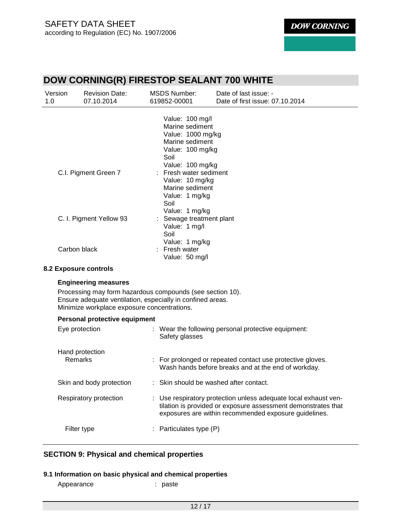| Version              | <b>Revision Date:</b>   | <b>MSDS Number:</b>                                                                                                        | Date of last issue: -           |  |
|----------------------|-------------------------|----------------------------------------------------------------------------------------------------------------------------|---------------------------------|--|
| 1.0                  | 07.10.2014              | 619852-00001                                                                                                               | Date of first issue: 07.10.2014 |  |
|                      |                         | Value: 100 mg/l<br>Marine sediment<br>Value: 1000 mg/kg<br>Marine sediment<br>Value: 100 mg/kg<br>Soil<br>Value: 100 mg/kg |                                 |  |
| C.I. Pigment Green 7 |                         | : Fresh water sediment<br>Value: 10 mg/kg<br>Marine sediment<br>Value: 1 mg/kg<br>Soil<br>Value: 1 mg/kg                   |                                 |  |
|                      | C. I. Pigment Yellow 93 | : Sewage treatment plant<br>Value: 1 mg/l<br>Soil<br>Value: 1 mg/kg                                                        |                                 |  |
|                      | Carbon black            | : Fresh water<br>Value: 50 mg/l                                                                                            |                                 |  |
|                      | 8.2 Exposure controls   |                                                                                                                            |                                 |  |

# **Engineering measures**

Processing may form hazardous compounds (see section 10). Ensure adequate ventilation, especially in confined areas. Minimize workplace exposure concentrations.

#### **Personal protective equipment**

| Eye protection             | : Wear the following personal protective equipment:<br>Safety glasses                                                                                                                     |
|----------------------------|-------------------------------------------------------------------------------------------------------------------------------------------------------------------------------------------|
| Hand protection<br>Remarks | : For prolonged or repeated contact use protective gloves.<br>Wash hands before breaks and at the end of workday.                                                                         |
| Skin and body protection   | : Skin should be washed after contact.                                                                                                                                                    |
| Respiratory protection     | : Use respiratory protection unless adequate local exhaust ven-<br>tilation is provided or exposure assessment demonstrates that<br>exposures are within recommended exposure guidelines. |
| Filter type                | : Particulates type $(P)$                                                                                                                                                                 |

#### **SECTION 9: Physical and chemical properties**

- **9.1 Information on basic physical and chemical properties** 
	- Appearance : paste
		-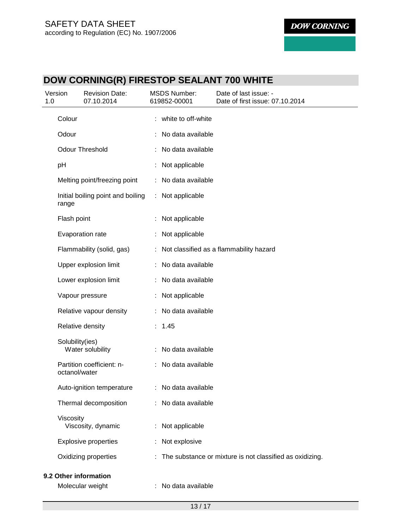| 1.0 | Version         | <b>Revision Date:</b><br>07.10.2014 | <b>MSDS Number:</b><br>619852-00001 | Date of last issue: -<br>Date of first issue: 07.10.2014   |
|-----|-----------------|-------------------------------------|-------------------------------------|------------------------------------------------------------|
|     | Colour          |                                     | : white to off-white                |                                                            |
|     | Odour           |                                     | No data available                   |                                                            |
|     |                 | <b>Odour Threshold</b>              | No data available                   |                                                            |
|     | pH              |                                     | : Not applicable                    |                                                            |
|     |                 | Melting point/freezing point        | : No data available                 |                                                            |
|     | range           | Initial boiling point and boiling   | : Not applicable                    |                                                            |
|     | Flash point     |                                     | : Not applicable                    |                                                            |
|     |                 | Evaporation rate                    | Not applicable                      |                                                            |
|     |                 | Flammability (solid, gas)           |                                     | : Not classified as a flammability hazard                  |
|     |                 | Upper explosion limit               | : No data available                 |                                                            |
|     |                 | Lower explosion limit               | : No data available                 |                                                            |
|     |                 | Vapour pressure                     | : Not applicable                    |                                                            |
|     |                 | Relative vapour density             | : No data available                 |                                                            |
|     |                 | Relative density                    | : 1.45                              |                                                            |
|     | Solubility(ies) | Water solubility                    | : No data available                 |                                                            |
|     | octanol/water   | Partition coefficient: n-           | : No data available                 |                                                            |
|     |                 | Auto-ignition temperature           | : No data available                 |                                                            |
|     |                 | Thermal decomposition               | : No data available                 |                                                            |
|     | Viscosity       | Viscosity, dynamic                  | : Not applicable                    |                                                            |
|     |                 | <b>Explosive properties</b>         | : Not explosive                     |                                                            |
|     |                 | Oxidizing properties                |                                     | : The substance or mixture is not classified as oxidizing. |
|     |                 | 9.2 Other information               |                                     |                                                            |
|     |                 | Molecular weight                    | No data available                   |                                                            |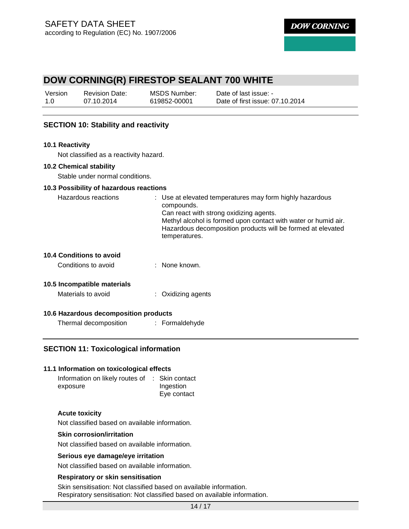| Version | <b>Revision Date:</b> | MSDS Number: | Date of last issue: -           |
|---------|-----------------------|--------------|---------------------------------|
| 1.0     | 07.10.2014            | 619852-00001 | Date of first issue: 07.10.2014 |

#### **SECTION 10: Stability and reactivity**

#### **10.1 Reactivity**

Not classified as a reactivity hazard.

#### **10.2 Chemical stability**

Stable under normal conditions.

#### **10.3 Possibility of hazardous reactions**

| Hazardous reactions | : Use at elevated temperatures may form highly hazardous<br>compounds. |
|---------------------|------------------------------------------------------------------------|
|                     | Can react with strong oxidizing agents.                                |
|                     | Methyl alcohol is formed upon contact with water or humid air.         |
|                     | Hazardous decomposition products will be formed at elevated            |
|                     | temperatures.                                                          |
|                     |                                                                        |

#### **10.4 Conditions to avoid**

| Conditions to avoid | None known. |
|---------------------|-------------|
|                     |             |

#### **10.5 Incompatible materials**

| Materials to avoid | : Oxidizing agents |
|--------------------|--------------------|
|--------------------|--------------------|

#### **10.6 Hazardous decomposition products**

| Thermal decomposition | Formaldehyde |  |
|-----------------------|--------------|--|
|-----------------------|--------------|--|

#### **SECTION 11: Toxicological information**

#### **11.1 Information on toxicological effects**

Information on likely routes of : Skin contact exposure Ingestion Eye contact

#### **Acute toxicity**

Not classified based on available information.

#### **Skin corrosion/irritation**

Not classified based on available information.

#### **Serious eye damage/eye irritation**

Not classified based on available information.

#### **Respiratory or skin sensitisation**

Skin sensitisation: Not classified based on available information. Respiratory sensitisation: Not classified based on available information.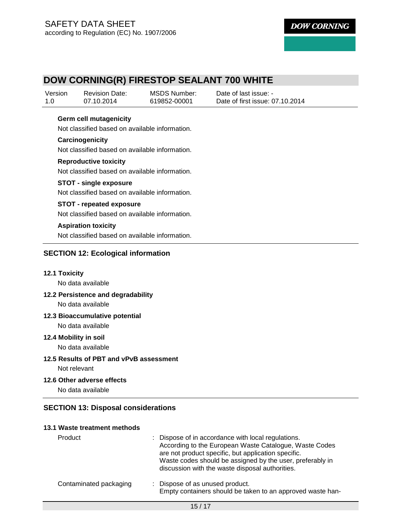# **DOW CORNING(R) FIRESTOP SEALANT 700 WHITE**

| Version | <b>Revision Date:</b> | MSDS Number: | Date of last issue: -           |
|---------|-----------------------|--------------|---------------------------------|
| 1.0     | 07.10.2014            | 619852-00001 | Date of first issue: 07.10.2014 |

#### **Germ cell mutagenicity**

Not classified based on available information.

#### **Carcinogenicity**

Not classified based on available information.

#### **Reproductive toxicity**

Not classified based on available information.

#### **STOT - single exposure**

Not classified based on available information.

#### **STOT - repeated exposure**

Not classified based on available information.

#### **Aspiration toxicity**

Not classified based on available information.

#### **SECTION 12: Ecological information**

#### **12.1 Toxicity**

No data available

#### **12.2 Persistence and degradability**

No data available

#### **12.3 Bioaccumulative potential**

No data available

#### **12.4 Mobility in soil**

No data available

#### **12.5 Results of PBT and vPvB assessment**

Not relevant

#### **12.6 Other adverse effects**

No data available

#### **SECTION 13: Disposal considerations**

#### **13.1 Waste treatment methods**

| Product                | : Dispose of in accordance with local regulations.<br>According to the European Waste Catalogue, Waste Codes<br>are not product specific, but application specific.<br>Waste codes should be assigned by the user, preferably in<br>discussion with the waste disposal authorities. |
|------------------------|-------------------------------------------------------------------------------------------------------------------------------------------------------------------------------------------------------------------------------------------------------------------------------------|
| Contaminated packaging | : Dispose of as unused product.<br>Empty containers should be taken to an approved waste han-                                                                                                                                                                                       |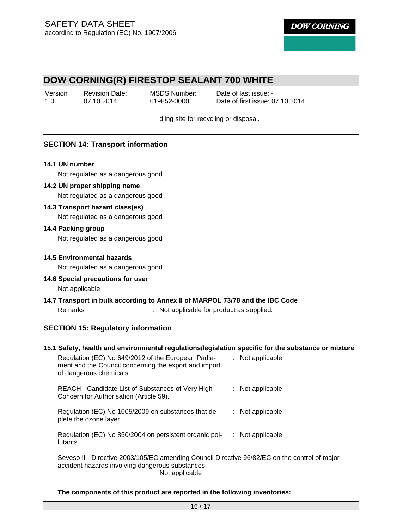### **DOW CORNING(R) FIRESTOP SEALANT 700 WHITE**

| Version | <b>Revision Date:</b> | MSDS Number: | Date of last issue: -           |
|---------|-----------------------|--------------|---------------------------------|
| 1.0     | 07.10.2014            | 619852-00001 | Date of first issue: 07.10.2014 |

dling site for recycling or disposal.

#### **SECTION 14: Transport information**

#### **14.1 UN number**

Not regulated as a dangerous good

#### **14.2 UN proper shipping name**

Not regulated as a dangerous good

#### **14.3 Transport hazard class(es)**

Not regulated as a dangerous good

#### **14.4 Packing group**

Not regulated as a dangerous good

#### **14.5 Environmental hazards**

Not regulated as a dangerous good

#### **14.6 Special precautions for user**  Not applicable

# **14.7 Transport in bulk according to Annex II of MARPOL 73/78 and the IBC Code**

Remarks : Not applicable for product as supplied.

#### **SECTION 15: Regulatory information**

#### **15.1 Safety, health and environmental regulations/legislation specific for the substance or mixture**

| Regulation (EC) No 649/2012 of the European Parlia-<br>ment and the Council concerning the export and import<br>of dangerous chemicals            | : Not applicable   |
|---------------------------------------------------------------------------------------------------------------------------------------------------|--------------------|
| REACH - Candidate List of Substances of Very High<br>Concern for Authorisation (Article 59).                                                      | : Not applicable   |
| Regulation (EC) No 1005/2009 on substances that de-<br>plete the ozone layer                                                                      | $:$ Not applicable |
| Regulation (EC) No 850/2004 on persistent organic pol-<br>lutants                                                                                 | $:$ Not applicable |
| Seveso II - Directive 2003/105/EC amending Council Directive 96/82/EC on the control of major-<br>accident hazards involving dangerous substances |                    |

Not applicable

#### **The components of this product are reported in the following inventories:**